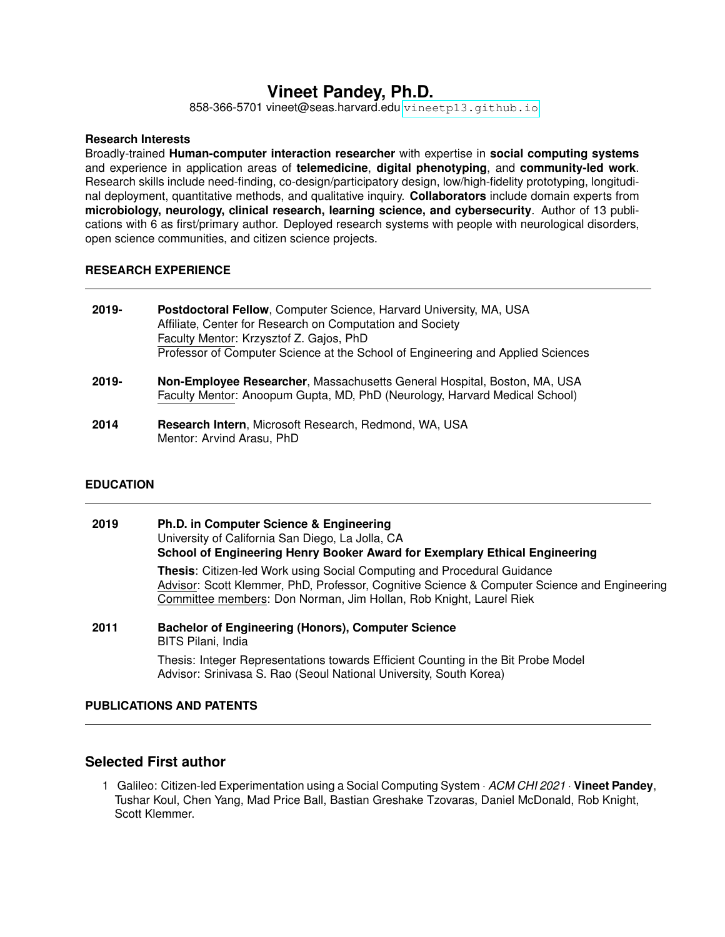# **Vineet Pandey, Ph.D.**

858-366-5701 vineet@seas.harvard.edu <vineetp13.github.io>

#### **Research Interests**

Broadly-trained **Human-computer interaction researcher** with expertise in **social computing systems** and experience in application areas of **telemedicine**, **digital phenotyping**, and **community-led work**. Research skills include need-finding, co-design/participatory design, low/high-fidelity prototyping, longitudinal deployment, quantitative methods, and qualitative inquiry. **Collaborators** include domain experts from **microbiology, neurology, clinical research, learning science, and cybersecurity**. Author of 13 publications with 6 as first/primary author. Deployed research systems with people with neurological disorders, open science communities, and citizen science projects.

#### **RESEARCH EXPERIENCE**

| 2019-       | <b>Postdoctoral Fellow, Computer Science, Harvard University, MA, USA</b><br>Affiliate, Center for Research on Computation and Society<br>Faculty Mentor: Krzysztof Z. Gajos, PhD<br>Professor of Computer Science at the School of Engineering and Applied Sciences |
|-------------|----------------------------------------------------------------------------------------------------------------------------------------------------------------------------------------------------------------------------------------------------------------------|
| 2019-       | Non-Employee Researcher, Massachusetts General Hospital, Boston, MA, USA<br>Faculty Mentor: Anoopum Gupta, MD, PhD (Neurology, Harvard Medical School)                                                                                                               |
| <b>2014</b> | Research Intern Microsoft Research Redmond WA LISA                                                                                                                                                                                                                   |

**2014 Research Intern**, Microsoft Research, Redmond, WA, USA Mentor: Arvind Arasu, PhD

#### **EDUCATION**

| 2019 | Ph.D. in Computer Science & Engineering<br>University of California San Diego, La Jolla, CA<br>School of Engineering Henry Booker Award for Exemplary Ethical Engineering                                                                     |
|------|-----------------------------------------------------------------------------------------------------------------------------------------------------------------------------------------------------------------------------------------------|
|      | Thesis: Citizen-led Work using Social Computing and Procedural Guidance<br>Advisor: Scott Klemmer, PhD, Professor, Cognitive Science & Computer Science and Engineering<br>Committee members: Don Norman, Jim Hollan, Rob Knight, Laurel Riek |
| 2011 | <b>Bachelor of Engineering (Honors), Computer Science</b><br>BITS Pilani, India                                                                                                                                                               |
|      | Thesis: Integer Representations towards Efficient Counting in the Bit Probe Model<br>Advisor: Srinivasa S. Rao (Seoul National University, South Korea)                                                                                       |

### **PUBLICATIONS AND PATENTS**

### **Selected First author**

1 Galileo: Citizen-led Experimentation using a Social Computing System · *ACM CHI 2021* · **Vineet Pandey**, Tushar Koul, Chen Yang, Mad Price Ball, Bastian Greshake Tzovaras, Daniel McDonald, Rob Knight, Scott Klemmer.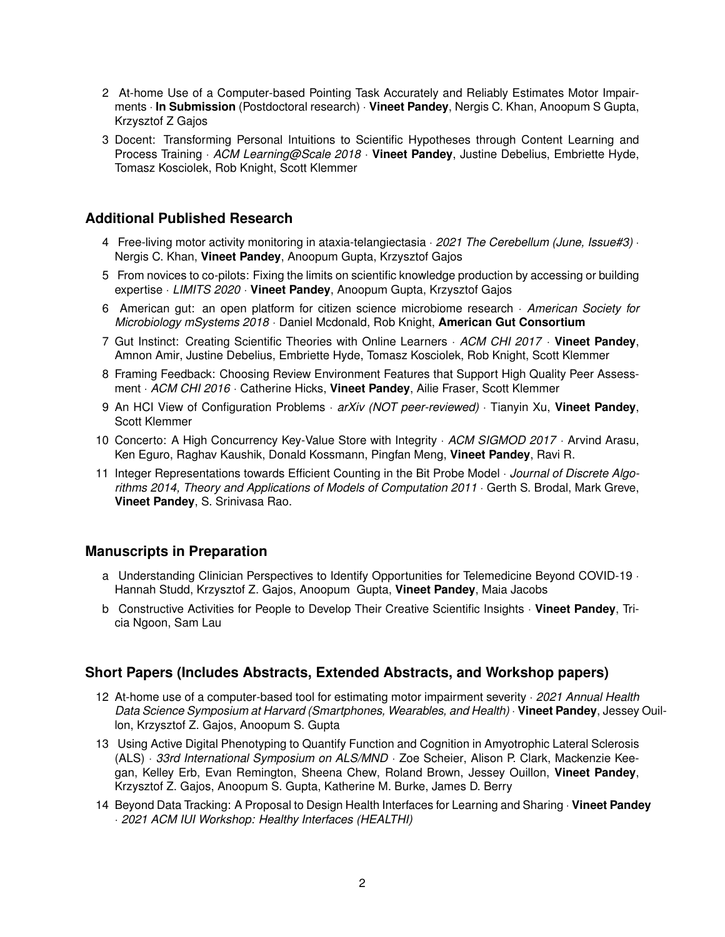- 2 At-home Use of a Computer-based Pointing Task Accurately and Reliably Estimates Motor Impairments · **In Submission** (Postdoctoral research) · **Vineet Pandey**, Nergis C. Khan, Anoopum S Gupta, Krzysztof Z Gajos
- 3 Docent: Transforming Personal Intuitions to Scientific Hypotheses through Content Learning and Process Training · *ACM Learning@Scale 2018* · **Vineet Pandey**, Justine Debelius, Embriette Hyde, Tomasz Kosciolek, Rob Knight, Scott Klemmer

## **Additional Published Research**

- 4 Free-living motor activity monitoring in ataxia-telangiectasia · *2021 The Cerebellum (June, Issue#3)* · Nergis C. Khan, **Vineet Pandey**, Anoopum Gupta, Krzysztof Gajos
- 5 From novices to co-pilots: Fixing the limits on scientific knowledge production by accessing or building expertise · *LIMITS 2020* · **Vineet Pandey**, Anoopum Gupta, Krzysztof Gajos
- 6 American gut: an open platform for citizen science microbiome research · *American Society for Microbiology mSystems 2018* · Daniel Mcdonald, Rob Knight, **American Gut Consortium**
- 7 Gut Instinct: Creating Scientific Theories with Online Learners · *ACM CHI 2017* · **Vineet Pandey**, Amnon Amir, Justine Debelius, Embriette Hyde, Tomasz Kosciolek, Rob Knight, Scott Klemmer
- 8 Framing Feedback: Choosing Review Environment Features that Support High Quality Peer Assessment · *ACM CHI 2016* · Catherine Hicks, **Vineet Pandey**, Ailie Fraser, Scott Klemmer
- 9 An HCI View of Configuration Problems · *arXiv (NOT peer-reviewed)* · Tianyin Xu, **Vineet Pandey**, Scott Klemmer
- 10 Concerto: A High Concurrency Key-Value Store with Integrity · *ACM SIGMOD 2017* · Arvind Arasu, Ken Eguro, Raghav Kaushik, Donald Kossmann, Pingfan Meng, **Vineet Pandey**, Ravi R.
- 11 Integer Representations towards Efficient Counting in the Bit Probe Model · *Journal of Discrete Algorithms 2014, Theory and Applications of Models of Computation 2011* · Gerth S. Brodal, Mark Greve, **Vineet Pandey**, S. Srinivasa Rao.

### **Manuscripts in Preparation**

- a Understanding Clinician Perspectives to Identify Opportunities for Telemedicine Beyond COVID-19 · Hannah Studd, Krzysztof Z. Gajos, Anoopum Gupta, **Vineet Pandey**, Maia Jacobs
- b Constructive Activities for People to Develop Their Creative Scientific Insights · **Vineet Pandey**, Tricia Ngoon, Sam Lau

### **Short Papers (Includes Abstracts, Extended Abstracts, and Workshop papers)**

- 12 At-home use of a computer-based tool for estimating motor impairment severity · *2021 Annual Health Data Science Symposium at Harvard (Smartphones, Wearables, and Health)* · **Vineet Pandey**, Jessey Ouillon, Krzysztof Z. Gajos, Anoopum S. Gupta
- 13 Using Active Digital Phenotyping to Quantify Function and Cognition in Amyotrophic Lateral Sclerosis (ALS) · *33rd International Symposium on ALS/MND* · Zoe Scheier, Alison P. Clark, Mackenzie Keegan, Kelley Erb, Evan Remington, Sheena Chew, Roland Brown, Jessey Ouillon, **Vineet Pandey**, Krzysztof Z. Gajos, Anoopum S. Gupta, Katherine M. Burke, James D. Berry
- 14 Beyond Data Tracking: A Proposal to Design Health Interfaces for Learning and Sharing · **Vineet Pandey** · *2021 ACM IUI Workshop: Healthy Interfaces (HEALTHI)*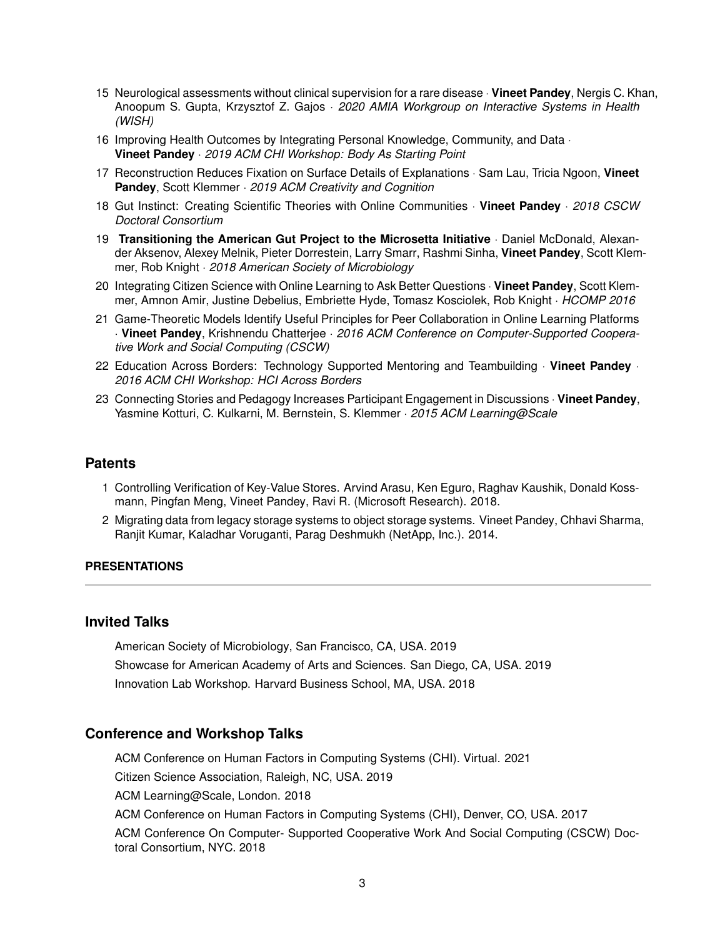- 15 Neurological assessments without clinical supervision for a rare disease · **Vineet Pandey**, Nergis C. Khan, Anoopum S. Gupta, Krzysztof Z. Gajos · *2020 AMIA Workgroup on Interactive Systems in Health (WISH)*
- 16 Improving Health Outcomes by Integrating Personal Knowledge, Community, and Data · **Vineet Pandey** · *2019 ACM CHI Workshop: Body As Starting Point*
- 17 Reconstruction Reduces Fixation on Surface Details of Explanations · Sam Lau, Tricia Ngoon, **Vineet Pandey**, Scott Klemmer · *2019 ACM Creativity and Cognition*
- 18 Gut Instinct: Creating Scientific Theories with Online Communities · **Vineet Pandey** · *2018 CSCW Doctoral Consortium*
- 19 **Transitioning the American Gut Project to the Microsetta Initiative** · Daniel McDonald, Alexander Aksenov, Alexey Melnik, Pieter Dorrestein, Larry Smarr, Rashmi Sinha, **Vineet Pandey**, Scott Klemmer, Rob Knight · *2018 American Society of Microbiology*
- 20 Integrating Citizen Science with Online Learning to Ask Better Questions · **Vineet Pandey**, Scott Klemmer, Amnon Amir, Justine Debelius, Embriette Hyde, Tomasz Kosciolek, Rob Knight · *HCOMP 2016*
- 21 Game-Theoretic Models Identify Useful Principles for Peer Collaboration in Online Learning Platforms · **Vineet Pandey**, Krishnendu Chatterjee · *2016 ACM Conference on Computer-Supported Cooperative Work and Social Computing (CSCW)*
- 22 Education Across Borders: Technology Supported Mentoring and Teambuilding · **Vineet Pandey** · *2016 ACM CHI Workshop: HCI Across Borders*
- 23 Connecting Stories and Pedagogy Increases Participant Engagement in Discussions · **Vineet Pandey**, Yasmine Kotturi, C. Kulkarni, M. Bernstein, S. Klemmer · *2015 ACM Learning@Scale*

### **Patents**

- 1 Controlling Verification of Key-Value Stores. Arvind Arasu, Ken Eguro, Raghav Kaushik, Donald Kossmann, Pingfan Meng, Vineet Pandey, Ravi R. (Microsoft Research). 2018.
- 2 Migrating data from legacy storage systems to object storage systems. Vineet Pandey, Chhavi Sharma, Ranjit Kumar, Kaladhar Voruganti, Parag Deshmukh (NetApp, Inc.). 2014.

#### **PRESENTATIONS**

#### **Invited Talks**

American Society of Microbiology, San Francisco, CA, USA. 2019 Showcase for American Academy of Arts and Sciences. San Diego, CA, USA. 2019 Innovation Lab Workshop. Harvard Business School, MA, USA. 2018

### **Conference and Workshop Talks**

ACM Conference on Human Factors in Computing Systems (CHI). Virtual. 2021 Citizen Science Association, Raleigh, NC, USA. 2019 ACM Learning@Scale, London. 2018 ACM Conference on Human Factors in Computing Systems (CHI), Denver, CO, USA. 2017 ACM Conference On Computer- Supported Cooperative Work And Social Computing (CSCW) Doctoral Consortium, NYC. 2018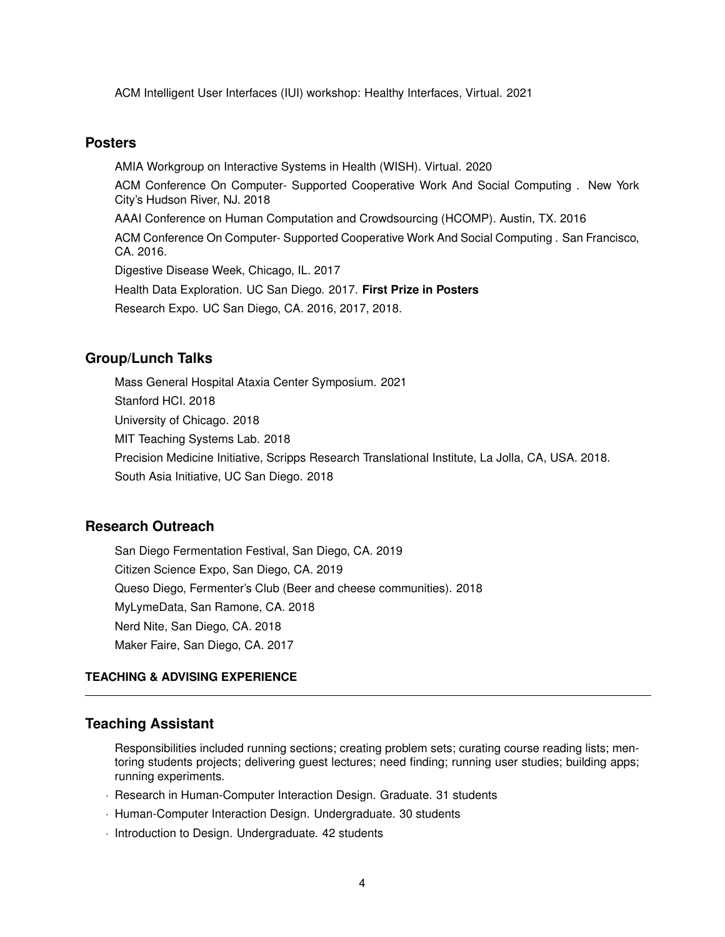ACM Intelligent User Interfaces (IUI) workshop: Healthy Interfaces, Virtual. 2021

#### **Posters**

AMIA Workgroup on Interactive Systems in Health (WISH). Virtual. 2020 ACM Conference On Computer- Supported Cooperative Work And Social Computing . New York City's Hudson River, NJ. 2018 AAAI Conference on Human Computation and Crowdsourcing (HCOMP). Austin, TX. 2016 ACM Conference On Computer- Supported Cooperative Work And Social Computing . San Francisco, CA. 2016. Digestive Disease Week, Chicago, IL. 2017 Health Data Exploration. UC San Diego. 2017. **First Prize in Posters** Research Expo. UC San Diego, CA. 2016, 2017, 2018.

### **Group/Lunch Talks**

Mass General Hospital Ataxia Center Symposium. 2021 Stanford HCI. 2018 University of Chicago. 2018 MIT Teaching Systems Lab. 2018 Precision Medicine Initiative, Scripps Research Translational Institute, La Jolla, CA, USA. 2018.

South Asia Initiative, UC San Diego. 2018

### **Research Outreach**

San Diego Fermentation Festival, San Diego, CA. 2019 Citizen Science Expo, San Diego, CA. 2019 Queso Diego, Fermenter's Club (Beer and cheese communities). 2018 MyLymeData, San Ramone, CA. 2018 Nerd Nite, San Diego, CA. 2018 Maker Faire, San Diego, CA. 2017

#### **TEACHING & ADVISING EXPERIENCE**

#### **Teaching Assistant**

Responsibilities included running sections; creating problem sets; curating course reading lists; mentoring students projects; delivering guest lectures; need finding; running user studies; building apps; running experiments.

- · Research in Human-Computer Interaction Design. Graduate. 31 students
- · Human-Computer Interaction Design. Undergraduate. 30 students
- · Introduction to Design. Undergraduate. 42 students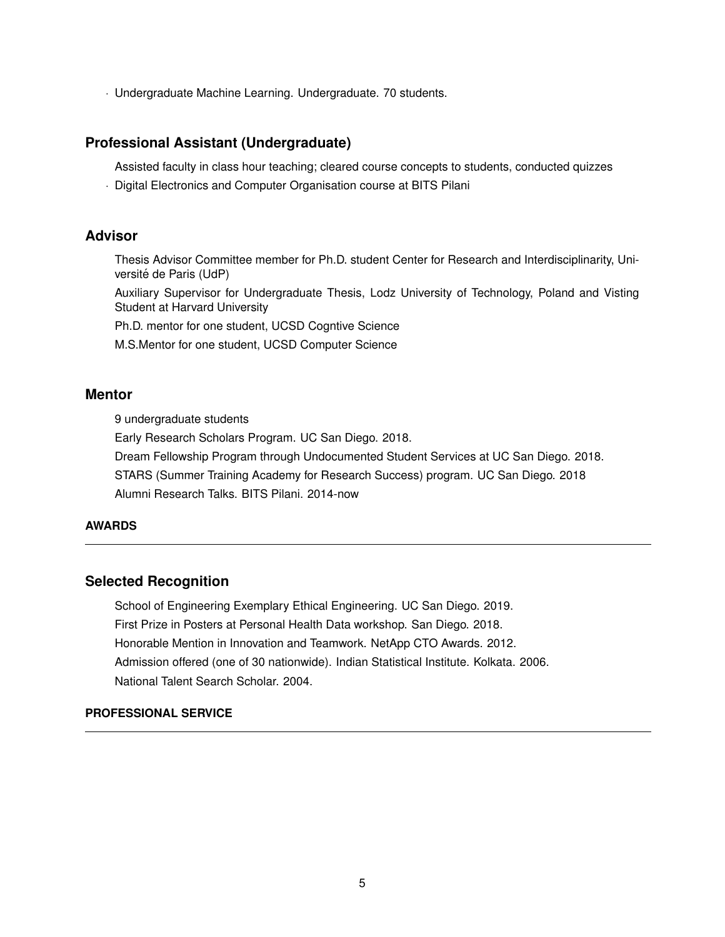· Undergraduate Machine Learning. Undergraduate. 70 students.

### **Professional Assistant (Undergraduate)**

Assisted faculty in class hour teaching; cleared course concepts to students, conducted quizzes

· Digital Electronics and Computer Organisation course at BITS Pilani

### **Advisor**

Thesis Advisor Committee member for Ph.D. student Center for Research and Interdisciplinarity, Université de Paris (UdP)

Auxiliary Supervisor for Undergraduate Thesis, Lodz University of Technology, Poland and Visting Student at Harvard University

Ph.D. mentor for one student, UCSD Cogntive Science

M.S.Mentor for one student, UCSD Computer Science

### **Mentor**

9 undergraduate students

Early Research Scholars Program. UC San Diego. 2018.

Dream Fellowship Program through Undocumented Student Services at UC San Diego. 2018.

STARS (Summer Training Academy for Research Success) program. UC San Diego. 2018 Alumni Research Talks. BITS Pilani. 2014-now

### **AWARDS**

### **Selected Recognition**

School of Engineering Exemplary Ethical Engineering. UC San Diego. 2019. First Prize in Posters at Personal Health Data workshop. San Diego. 2018. Honorable Mention in Innovation and Teamwork. NetApp CTO Awards. 2012. Admission offered (one of 30 nationwide). Indian Statistical Institute. Kolkata. 2006. National Talent Search Scholar. 2004.

#### **PROFESSIONAL SERVICE**